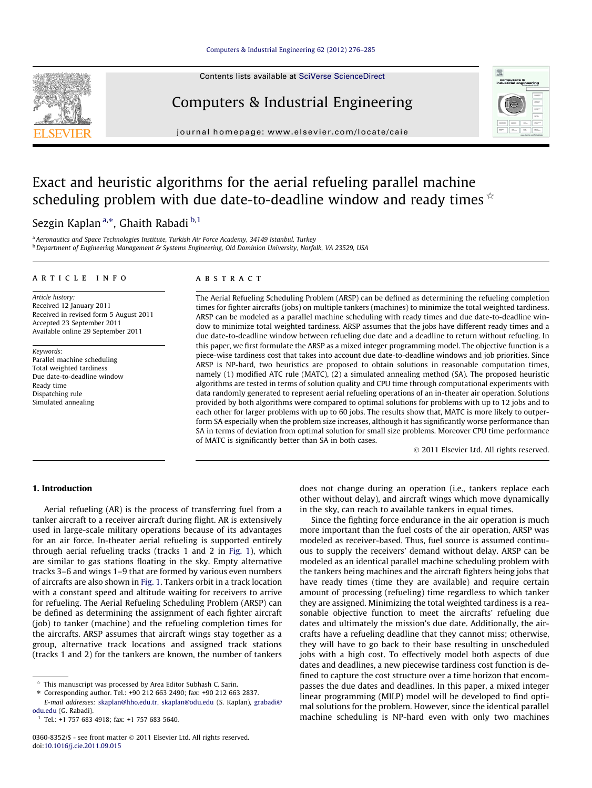Contents lists available at [SciVerse ScienceDirect](http://www.sciencedirect.com/science/journal/03608352)

Computers & Industrial Engineering



journal homepage: [www.elsevier.com/locate/caie](http://www.elsevier.com/locate/caie)

## Exact and heuristic algorithms for the aerial refueling parallel machine scheduling problem with due date-to-deadline window and ready times  $\dot{\alpha}$

### Sezgin Kaplan <sup>a,</sup>\*, Ghaith Rabadi <sup>b,1</sup>

<sup>a</sup> Aeronautics and Space Technologies Institute, Turkish Air Force Academy, 34149 Istanbul, Turkey <sup>b</sup> Department of Engineering Management & Systems Engineering, Old Dominion University, Norfolk, VA 23529, USA

#### article info

Article history: Received 12 Ianuary 2011 Received in revised form 5 August 2011 Accepted 23 September 2011 Available online 29 September 2011

Keywords: Parallel machine scheduling Total weighted tardiness Due date-to-deadline window Ready time Dispatching rule Simulated annealing

#### ABSTRACT

The Aerial Refueling Scheduling Problem (ARSP) can be defined as determining the refueling completion times for fighter aircrafts (jobs) on multiple tankers (machines) to minimize the total weighted tardiness. ARSP can be modeled as a parallel machine scheduling with ready times and due date-to-deadline window to minimize total weighted tardiness. ARSP assumes that the jobs have different ready times and a due date-to-deadline window between refueling due date and a deadline to return without refueling. In this paper, we first formulate the ARSP as a mixed integer programming model. The objective function is a piece-wise tardiness cost that takes into account due date-to-deadline windows and job priorities. Since ARSP is NP-hard, two heuristics are proposed to obtain solutions in reasonable computation times, namely (1) modified ATC rule (MATC), (2) a simulated annealing method (SA). The proposed heuristic algorithms are tested in terms of solution quality and CPU time through computational experiments with data randomly generated to represent aerial refueling operations of an in-theater air operation. Solutions provided by both algorithms were compared to optimal solutions for problems with up to 12 jobs and to each other for larger problems with up to 60 jobs. The results show that, MATC is more likely to outperform SA especially when the problem size increases, although it has significantly worse performance than SA in terms of deviation from optimal solution for small size problems. Moreover CPU time performance of MATC is significantly better than SA in both cases.

- 2011 Elsevier Ltd. All rights reserved.

#### 1. Introduction

Aerial refueling (AR) is the process of transferring fuel from a tanker aircraft to a receiver aircraft during flight. AR is extensively used in large-scale military operations because of its advantages for an air force. In-theater aerial refueling is supported entirely through aerial refueling tracks (tracks 1 and 2 in [Fig. 1\)](#page-1-0), which are similar to gas stations floating in the sky. Empty alternative tracks 3–6 and wings 1–9 that are formed by various even numbers of aircrafts are also shown in [Fig. 1.](#page-1-0) Tankers orbit in a track location with a constant speed and altitude waiting for receivers to arrive for refueling. The Aerial Refueling Scheduling Problem (ARSP) can be defined as determining the assignment of each fighter aircraft (job) to tanker (machine) and the refueling completion times for the aircrafts. ARSP assumes that aircraft wings stay together as a group, alternative track locations and assigned track stations (tracks 1 and 2) for the tankers are known, the number of tankers does not change during an operation (i.e., tankers replace each other without delay), and aircraft wings which move dynamically in the sky, can reach to available tankers in equal times.

Since the fighting force endurance in the air operation is much more important than the fuel costs of the air operation, ARSP was modeled as receiver-based. Thus, fuel source is assumed continuous to supply the receivers' demand without delay. ARSP can be modeled as an identical parallel machine scheduling problem with the tankers being machines and the aircraft fighters being jobs that have ready times (time they are available) and require certain amount of processing (refueling) time regardless to which tanker they are assigned. Minimizing the total weighted tardiness is a reasonable objective function to meet the aircrafts' refueling due dates and ultimately the mission's due date. Additionally, the aircrafts have a refueling deadline that they cannot miss; otherwise, they will have to go back to their base resulting in unscheduled jobs with a high cost. To effectively model both aspects of due dates and deadlines, a new piecewise tardiness cost function is defined to capture the cost structure over a time horizon that encompasses the due dates and deadlines. In this paper, a mixed integer linear programming (MILP) model will be developed to find optimal solutions for the problem. However, since the identical parallel machine scheduling is NP-hard even with only two machines

 $\textstyle{\raisebox{0.6ex}{\scriptsize{*}}}$  This manuscript was processed by Area Editor Subhash C. Sarin.

<sup>⇑</sup> Corresponding author. Tel.: +90 212 663 2490; fax: +90 212 663 2837. E-mail addresses: [skaplan@hho.edu.tr, skaplan@odu.edu](mailto:<xml_add>skaplan@hho.edu.tr) (S. Kaplan), [grabadi@](mailto:grabadi@ odu.edu) [odu.edu](mailto:grabadi@ odu.edu) (G. Rabadi).

 $1$  Tel.: +1 757 683 4918; fax: +1 757 683 5640.

<sup>0360-8352/\$ -</sup> see front matter © 2011 Elsevier Ltd. All rights reserved. doi:[10.1016/j.cie.2011.09.015](http://dx.doi.org/10.1016/j.cie.2011.09.015)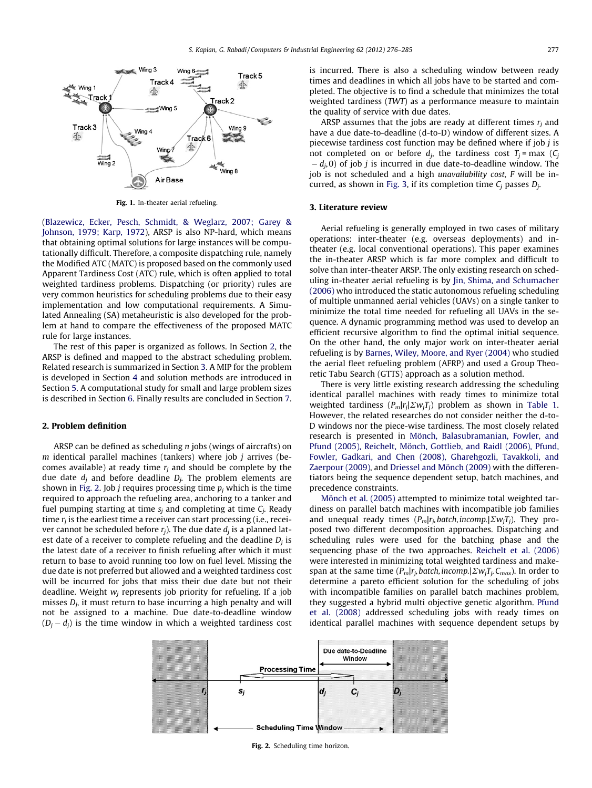<span id="page-1-0"></span>

Fig. 1. In-theater aerial refueling.

([Blazewicz, Ecker, Pesch, Schmidt, & Weglarz, 2007; Garey &](#page--1-0) [Johnson, 1979; Karp, 1972\)](#page--1-0), ARSP is also NP-hard, which means that obtaining optimal solutions for large instances will be computationally difficult. Therefore, a composite dispatching rule, namely the Modified ATC (MATC) is proposed based on the commonly used Apparent Tardiness Cost (ATC) rule, which is often applied to total weighted tardiness problems. Dispatching (or priority) rules are very common heuristics for scheduling problems due to their easy implementation and low computational requirements. A Simulated Annealing (SA) metaheuristic is also developed for the problem at hand to compare the effectiveness of the proposed MATC rule for large instances.

The rest of this paper is organized as follows. In Section 2, the ARSP is defined and mapped to the abstract scheduling problem. Related research is summarized in Section 3. A MIP for the problem is developed in Section [4](#page--1-0) and solution methods are introduced in Section [5.](#page--1-0) A computational study for small and large problem sizes is described in Section [6](#page--1-0). Finally results are concluded in Section [7.](#page--1-0)

### 2. Problem definition

ARSP can be defined as scheduling  $n$  jobs (wings of aircrafts) on  $m$  identical parallel machines (tankers) where job  $j$  arrives (becomes available) at ready time  $r_i$  and should be complete by the due date  $d_i$  and before deadline  $D_i$ . The problem elements are shown in Fig. 2. Job *j* requires processing time  $p_i$  which is the time required to approach the refueling area, anchoring to a tanker and fuel pumping starting at time  $s_i$  and completing at time  $C_i$ . Ready time  $r_i$  is the earliest time a receiver can start processing (i.e., receiver cannot be scheduled before  $r_i$ ). The due date  $d_i$  is a planned latest date of a receiver to complete refueling and the deadline  $D_i$  is the latest date of a receiver to finish refueling after which it must return to base to avoid running too low on fuel level. Missing the due date is not preferred but allowed and a weighted tardiness cost will be incurred for jobs that miss their due date but not their deadline. Weight  $w_i$  represents job priority for refueling. If a job misses  $D_i$ , it must return to base incurring a high penalty and will not be assigned to a machine. Due date-to-deadline window  $(D_j - d_j)$  is the time window in which a weighted tardiness cost

is incurred. There is also a scheduling window between ready times and deadlines in which all jobs have to be started and completed. The objective is to find a schedule that minimizes the total weighted tardiness (TWT) as a performance measure to maintain the quality of service with due dates.

ARSP assumes that the jobs are ready at different times  $r_i$  and have a due date-to-deadline (d-to-D) window of different sizes. A piecewise tardiness cost function may be defined where if job j is not completed on or before  $d_i$ , the tardiness cost  $T_i$  = max ( $C_i$  $(d_j, 0)$  of job *j* is incurred in due date-to-deadline window. The job is not scheduled and a high unavailability cost, F will be in-curred, as shown in [Fig. 3](#page--1-0), if its completion time  $C_i$  passes  $D_i$ .

#### 3. Literature review

Aerial refueling is generally employed in two cases of military operations: inter-theater (e.g. overseas deployments) and intheater (e.g. local conventional operations). This paper examines the in-theater ARSP which is far more complex and difficult to solve than inter-theater ARSP. The only existing research on scheduling in-theater aerial refueling is by [Jin, Shima, and Schumacher](#page--1-0) [\(2006\)](#page--1-0) who introduced the static autonomous refueling scheduling of multiple unmanned aerial vehicles (UAVs) on a single tanker to minimize the total time needed for refueling all UAVs in the sequence. A dynamic programming method was used to develop an efficient recursive algorithm to find the optimal initial sequence. On the other hand, the only major work on inter-theater aerial refueling is by [Barnes, Wiley, Moore, and Ryer \(2004\)](#page--1-0) who studied the aerial fleet refueling problem (AFRP) and used a Group Theoretic Tabu Search (GTTS) approach as a solution method.

There is very little existing research addressing the scheduling identical parallel machines with ready times to minimize total weighted tardiness  $(P_m|r_j|\Sigma w_jT_j)$  problem as shown in [Table 1.](#page--1-0) However, the related researches do not consider neither the d-to-D windows nor the piece-wise tardiness. The most closely related research is presented in [Mönch, Balasubramanian, Fowler, and](#page--1-0) [Pfund \(2005\), Reichelt, Mönch, Gottlieb, and Raidl \(2006\), Pfund,](#page--1-0) [Fowler, Gadkari, and Chen \(2008\), Gharehgozli, Tavakkoli, and](#page--1-0) [Zaerpour \(2009\),](#page--1-0) and [Driessel and Mönch \(2009\)](#page--1-0) with the differentiators being the sequence dependent setup, batch machines, and precedence constraints.

[Mönch et al. \(2005\)](#page--1-0) attempted to minimize total weighted tardiness on parallel batch machines with incompatible job families and unequal ready times  $(P_m | r_j, batch, incomp.] \sum w_j T_j$ ). They proposed two different decomposition approaches. Dispatching and scheduling rules were used for the batching phase and the sequencing phase of the two approaches. [Reichelt et al. \(2006\)](#page--1-0) were interested in minimizing total weighted tardiness and makespan at the same time  $(P_m|r_i, batch, incomp.|\Sigma w_iT_i, C_{max})$ . In order to determine a pareto efficient solution for the scheduling of jobs with incompatible families on parallel batch machines problem, they suggested a hybrid multi objective genetic algorithm. [Pfund](#page--1-0) [et al. \(2008\)](#page--1-0) addressed scheduling jobs with ready times on identical parallel machines with sequence dependent setups by



Fig. 2. Scheduling time horizon.